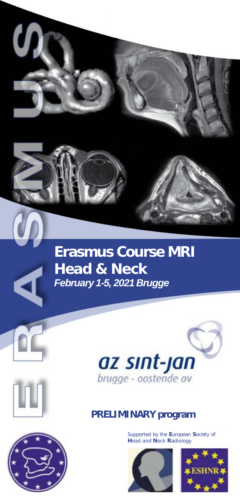

# **Erasmus Course MRI Head & Neck** *February 1-5, 2021 Brugge*



### **PRELIMINARY program**

Supported by the **E**uropean **S**ociety of **H**ead and **N**eck **R**adiology







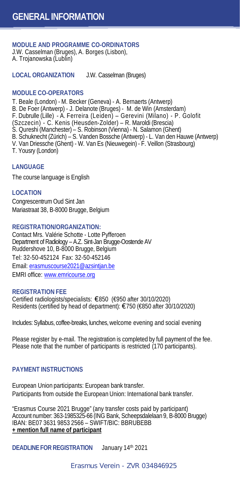**MODULE AND PROGRAMME CO-ORDINATORS**  J.W. Casselman (Bruges), A. Borges (Lisbon), A. Trojanowska (Lublin)

**LOCAL ORGANIZATION** J.W. Casselman (Bruges)

#### **MODULE CO-OPERATORS**

T. Beale (London) - M. Becker (Geneva) - A. Bernaerts (Antwerp) B. De Foer (Antwerp) - J. Delanote (Bruges) - M. de Win (Amsterdam) F. Dubrulle (Lille) - A. Ferreira (Leiden) – Gerevini (Milano) - P. Golofit (Szczecin) - C. Kenis (Heusden-Zolder) – R. Maroldi (Brescia) S. Qureshi (Manchester) – S. Robinson (Vienna) - N. Salamon (Ghent) B. Schuknecht (Zürich) – S. Vanden Bossche (Antwerp) - L. Van den Hauwe (Antwerp) V. Van Driessche (Ghent) - W. Van Es (Nieuwegein) - F. Veillon (Strasbourg) T. Yousry (London)

#### **LANGUAGE**

The course language is English

#### **LOCATION**

Congrescentrum Oud Sint Jan Mariastraat 38, B-8000 Brugge, Belgium

#### **REGISTRATION/ORGANIZATION:**

Contact Mrs. Valérie Schotte - Lotte Pyfferoen Department of Radiology – A.Z. Sint-Jan Brugge-Oostende AV Ruddershove 10, B-8000 Brugge, Belgium Tel: 32-50-452124 Fax: 32-50-452146 Email: [erasmuscourse2021@azsintjan.be](mailto:erasmuscourse2018@azsintjan.be) EMRI office: [www.emricourse.org](http://www.emricourse.org/)

#### **REGISTRATION FEE**

Certified radiologists/specialists: €850 (€950 after 30/10/2020) Residents (certified by head of department): €750 (€850 after 30/10/2020)

Includes: Syllabus, coffee-breaks, lunches, welcome evening and social evening

Please register by e-mail. The registration is completed by full payment of the fee. Please note that the number of participants is restricted (170 participants).

#### **PAYMENT INSTRUCTIONS**

European Union participants: European bank transfer. Participants from outside the European Union: International bank transfer.

"Erasmus Course 2021 Brugge" (any transfer costs paid by participant) Account number: 363-1985325-66 (ING Bank, Scheepsdalelaan 9, B-8000 Brugge) IBAN: BE07 3631 9853 2566 – SWIFT/BIC: BBRUBEBB **+ mention full name of participant**

**DEADLINE FOR REGISTRATION** January 14th 2021

#### Erasmus Verein - ZVR 034846925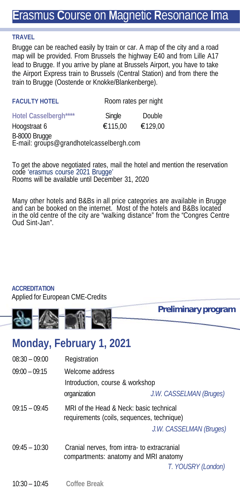## **E**rasmus **C**ourse on **M**agnetic **R**esonance **I**ma

#### **TRAVEL**

Brugge can be reached easily by train or car. A map of the city and a road map will be provided. From Brussels the highway E40 and from Lille A17 lead to Brugge. If you arrive by plane at Brussels Airport, you have to take the Airport Express train to Brussels (Central Station) and from there the train to Brugge (Oostende or Knokke/Blankenberge).

| <b>FACULTY HOTEL</b>                                      |         | Room rates per night |
|-----------------------------------------------------------|---------|----------------------|
| Hotel Casselbergh****                                     | Single  | Double               |
| Hoogstraat 6                                              | €115.00 | €129,00              |
| B-8000 Brugge<br>E-mail: groups@grandhotelcasselbergh.com |         |                      |

To get the above negotiated rates, mail the hotel and mention the reservation code 'erasmus course 2021 Brugge' Rooms will be available until December 31, 2020

Many other hotels and B&Bs in all price categories are available in Brugge and can be booked on the internet. Most of the hotels and B&Bs located in the old centre of the city are "walking distance" from the "Congres Centre Oud Sint-Jan".

#### **ACCREDITATION**

Applied for European CME-Credits



### **Monday, February 1, 2021**

| $08:30 - 09:00$ | Registration                                                                          |                         |
|-----------------|---------------------------------------------------------------------------------------|-------------------------|
| $09:00 - 09:15$ | Welcome address<br>Introduction, course & workshop                                    |                         |
|                 | organization                                                                          | J.W. CASSELMAN (Bruges) |
| $09:15 - 09:45$ | MRI of the Head & Neck: basic technical<br>requirements (coils, sequences, technique) | J.W. CASSELMAN (Bruges) |
| $09:45 - 10:30$ | Cranial nerves, from intra- to extracranial<br>compartments: anatomy and MRI anatomy  | T. YOUSRY (London)      |
| $10:30 - 10:45$ | Coffee Break                                                                          |                         |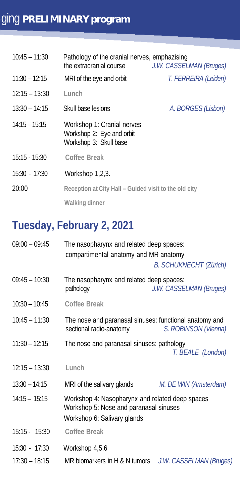| $10:45 - 11:30$ | Pathology of the cranial nerves, emphazising<br>the extracranial course           | J.W. CASSELMAN (Bruges) |
|-----------------|-----------------------------------------------------------------------------------|-------------------------|
| $11:30 - 12:15$ | MRI of the eye and orbit                                                          | T. FERREIRA (Leiden)    |
| $12:15 - 13:30$ | Lunch                                                                             |                         |
| $13:30 - 14:15$ | Skull base lesions                                                                | A. BORGES (Lisbon)      |
| $14:15 - 15:15$ | Workshop 1: Cranial nerves<br>Workshop 2: Eye and orbit<br>Workshop 3: Skull base |                         |
| $15:15 - 15:30$ | Coffee Break                                                                      |                         |
| $15:30 - 17:30$ | Workshop 1,2,3.                                                                   |                         |
| 20:00           | Reception at City Hall - Guided visit to the old city                             |                         |
|                 | Walking dinner                                                                    |                         |

# **Tuesday, February 2, 2021**

| $09:00 - 09:45$ | The nasopharynx and related deep spaces:<br>compartimental anatomy and MR anatomy                                        | <b>B. SCHUKNECHT (Zürich)</b> |
|-----------------|--------------------------------------------------------------------------------------------------------------------------|-------------------------------|
| $09:45 - 10:30$ | The nasopharynx and related deep spaces:<br>pathology                                                                    | J.W. CASSELMAN (Bruges)       |
| $10:30 - 10:45$ | Coffee Break                                                                                                             |                               |
| $10:45 - 11:30$ | The nose and paranasal sinuses: functional anatomy and<br>sectional radio-anatomy                                        | S. ROBINSON (Vienna)          |
| $11:30 - 12:15$ | The nose and paranasal sinuses: pathology                                                                                | T. BEALE (London)             |
| $12:15 - 13:30$ | Lunch                                                                                                                    |                               |
| $13:30 - 14:15$ | MRI of the salivary glands                                                                                               | M. DE WIN (Amsterdam)         |
| $14:15 - 15:15$ | Workshop 4: Nasopharynx and related deep spaces<br>Workshop 5: Nose and paranasal sinuses<br>Workshop 6: Salivary glands |                               |
| $15:15 - 15:30$ | Coffee Break                                                                                                             |                               |
| $15:30 - 17:30$ | Workshop 4,5,6                                                                                                           |                               |
| $17:30 - 18:15$ | MR biomarkers in H & N tumors J.W. CASSELMAN (Bruges)                                                                    |                               |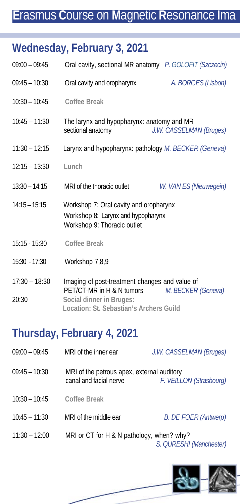## **E**rasmus **C**ourse on **M**agnetic **R**esonance **I**ma

## **Wednesday, February 3, 2021**

| $09:00 - 09:45$          | Oral cavity, sectional MR anatomy P. GOLOFIT (Szczecin)                                                     |                         |
|--------------------------|-------------------------------------------------------------------------------------------------------------|-------------------------|
| $09:45 - 10:30$          | Oral cavity and oropharynx                                                                                  | A. BORGES (Lisbon)      |
| $10:30 - 10:45$          | Coffee Break                                                                                                |                         |
| $10:45 - 11:30$          | The larynx and hypopharynx: anatomy and MR<br>sectional anatomy                                             | J.W. CASSELMAN (Bruges) |
| $11:30 - 12:15$          | Larynx and hypopharynx: pathology M. BECKER (Geneva)                                                        |                         |
| $12:15 - 13:30$          | Lunch                                                                                                       |                         |
| $13:30 - 14:15$          | MRI of the thoracic outlet                                                                                  | W. VAN ES (Nieuwegein)  |
| $14:15 - 15:15$          | Workshop 7: Oral cavity and oropharynx<br>Workshop 8: Larynx and hypopharynx<br>Workshop 9: Thoracic outlet |                         |
| $15:15 - 15:30$          | Coffee Break                                                                                                |                         |
| 15:30 - 17:30            | Workshop 7,8,9                                                                                              |                         |
| $17:30 - 18:30$<br>20:30 | Imaging of post-treatment changes and value of<br>PET/CT-MR in H & N tumors<br>Social dinner in Bruges:     | M. BECKER (Geneva)      |

## **Thursday, February 4, 2021**

09:00 – 09:45 MRI of the inner ear *J.W. CASSELMAN (Bruges)*  09:45 – 10:30 MRI of the petrous apex, external auditory<br>canal and facial nerve  $E. VE1L$ canal and facial nerve *F. VEILLON (Strasbourg)* 

**Location: St. Sebastian's Archers Guild**

- 10:30 10:45 **Coffee Break**
- 10:45 11:30 MRI of the middle ear *B. DE FOER (Antwerp)*
- 11:30 12:00 MRI or CT for H & N pathology, when? why? *S. QURESHI (Manchester)*